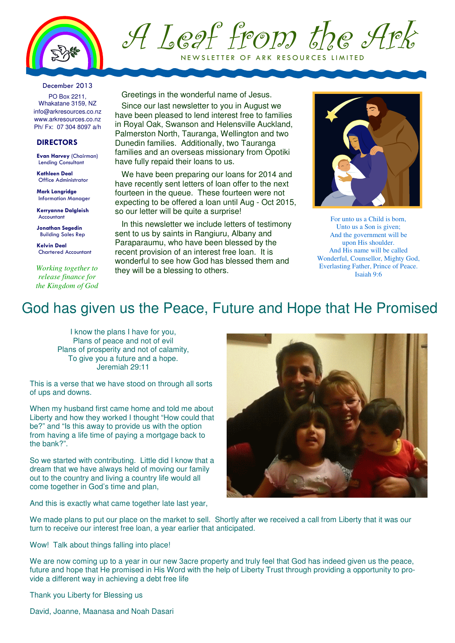

A Leaf from the Ark NEW SLETTER OF ARK RESOURCES LIMITED

#### December 2013

PO Box 2211, Whakatane 3159, NZ info@arkresources.co.nz www.arkresources.co.nz Ph/ Fx: 07 304 8097 a/h

### **DIRECTORS**

Evan Harvey (Chairman) Lending Consultant

Kathleen Deal Office Administrator

Mark Langridge Information Manager

Kerryanne Dalgleish Accountant

Jonathan Segedin Building Sales Rep

Kelvin Deal Chartered Accountant

*Working together to release finance for the Kingdom of God* Greetings in the wonderful name of Jesus.

Since our last newsletter to you in August we have been pleased to lend interest free to families in Royal Oak, Swanson and Helensville Auckland, Palmerston North, Tauranga, Wellington and two Dunedin families. Additionally, two Tauranga families and an overseas missionary from Opotiki have fully repaid their loans to us.

We have been preparing our loans for 2014 and have recently sent letters of loan offer to the next fourteen in the queue. These fourteen were not expecting to be offered a loan until Aug - Oct 2015, so our letter will be quite a surprise!

In this newsletter we include letters of testimony sent to us by saints in Rangiuru, Albany and Paraparaumu, who have been blessed by the recent provision of an interest free loan. It is wonderful to see how God has blessed them and they will be a blessing to others.



For unto us a Child is born, Unto us a Son is given; And the government will be upon His shoulder. And His name will be called Wonderful, Counsellor, Mighty God, Everlasting Father, Prince of Peace. Isaiah 9:6

### God has given us the Peace, Future and Hope that He Promised

I know the plans I have for you, Plans of peace and not of evil Plans of prosperity and not of calamity, To give you a future and a hope. Jeremiah 29:11

This is a verse that we have stood on through all sorts of ups and downs.

When my husband first came home and told me about Liberty and how they worked I thought "How could that be?" and "Is this away to provide us with the option from having a life time of paying a mortgage back to the bank?".

So we started with contributing. Little did I know that a dream that we have always held of moving our family out to the country and living a country life would all come together in God's time and plan,

And this is exactly what came together late last year,



We made plans to put our place on the market to sell. Shortly after we received a call from Liberty that it was our turn to receive our interest free loan, a year earlier that anticipated.

Wow! Talk about things falling into place!

We are now coming up to a year in our new 3acre property and truly feel that God has indeed given us the peace, future and hope that He promised in His Word with the help of Liberty Trust through providing a opportunity to provide a different way in achieving a debt free life

Thank you Liberty for Blessing us

David, Joanne, Maanasa and Noah Dasari